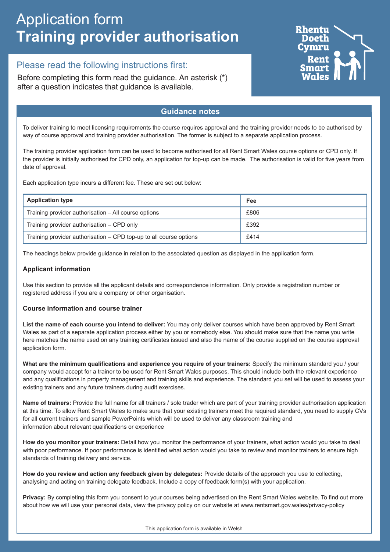# Application form **Training provider authorisation**

## Please read the following instructions first:

Before completing this form read the guidance. An asterisk (\*) after a question indicates that guidance is available.



## **Guidance notes**

To deliver training to meet licensing requirements the course requires approval and the training provider needs to be authorised by way of course approval and training provider authorisation. The former is subject to a separate application process.

The training provider application form can be used to become authorised for all Rent Smart Wales course options or CPD only. If the provider is initially authorised for CPD only, an application for top-up can be made. The authorisation is valid for five years from date of approval.

Each application type incurs a different fee. These are set out below:

| <b>Application type</b>                                            | Fee  |
|--------------------------------------------------------------------|------|
| Training provider authorisation – All course options               | £806 |
| Training provider authorisation – CPD only                         | £392 |
| Training provider authorisation - CPD top-up to all course options | £414 |

The headings below provide guidance in relation to the associated question as displayed in the application form.

### **Applicant information**

Use this section to provide all the applicant details and correspondence information. Only provide a registration number or registered address if you are a company or other organisation.

#### **Course information and course trainer**

**List the name of each course you intend to deliver:** You may only deliver courses which have been approved by Rent Smart Wales as part of a separate application process either by you or somebody else. You should make sure that the name you write here matches the name used on any training certificates issued and also the name of the course supplied on the course approval application form.

**What are the minimum qualifications and experience you require of your trainers:** Specify the minimum standard you / your company would accept for a trainer to be used for Rent Smart Wales purposes. This should include both the relevant experience and any qualifications in property management and training skills and experience. The standard you set will be used to assess your existing trainers and any future trainers during audit exercises.

**Name of trainers:** Provide the full name for all trainers / sole trader which are part of your training provider authorisation application at this time. To allow Rent Smart Wales to make sure that your existing trainers meet the required standard, you need to supply CVs for all current trainers and sample PowerPoints which will be used to deliver any classroom training and information about relevant qualifications or experience

**How do you monitor your trainers:** Detail how you monitor the performance of your trainers, what action would you take to deal with poor performance. If poor performance is identified what action would you take to review and monitor trainers to ensure high standards of training delivery and service.

**How do you review and action any feedback given by delegates:** Provide details of the approach you use to collecting, analysing and acting on training delegate feedback. Include a copy of feedback form(s) with your application.

**Privacy:** By completing this form you consent to your courses being advertised on the Rent Smart Wales website. To find out more about how we will use your personal data, view the privacy policy on our website at www.rentsmart.gov.wales/privacy-policy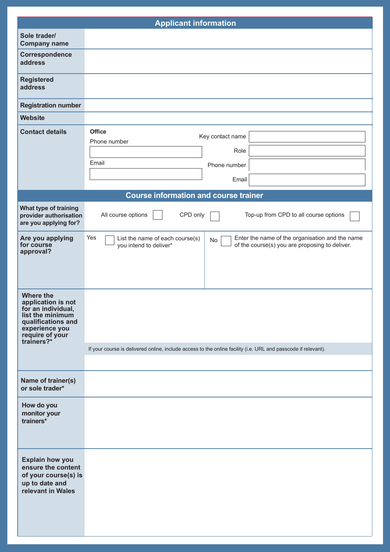| <b>Applicant information</b>                                                                                                                              |                                                                                                                                                                             |  |
|-----------------------------------------------------------------------------------------------------------------------------------------------------------|-----------------------------------------------------------------------------------------------------------------------------------------------------------------------------|--|
| Sole trader/<br><b>Company name</b>                                                                                                                       |                                                                                                                                                                             |  |
| Correspondence<br>address                                                                                                                                 |                                                                                                                                                                             |  |
| <b>Registered</b><br>address                                                                                                                              |                                                                                                                                                                             |  |
| <b>Registration number</b>                                                                                                                                |                                                                                                                                                                             |  |
| <b>Website</b>                                                                                                                                            |                                                                                                                                                                             |  |
| <b>Contact details</b>                                                                                                                                    | <b>Office</b><br>Key contact name<br>Phone number<br>Role<br>Email<br>Phone number<br>Email                                                                                 |  |
|                                                                                                                                                           | <b>Course information and course trainer</b>                                                                                                                                |  |
| What type of training<br>provider authorisation<br>are you applying for?                                                                                  | CPD only<br>All course options<br>Top-up from CPD to all course options                                                                                                     |  |
| Are you applying<br>for course<br>approval?                                                                                                               | Yes<br>Enter the name of the organisation and the name<br>List the name of each course(s)<br>No<br>of the course(s) you are proposing to deliver.<br>you intend to deliver* |  |
| <b>Where the</b><br>application is not<br>for an individual,<br>list the minimum<br>qualifications and<br>experience you<br>require of your<br>trainers?* | If your course is delivered online, include access to the online facility (i.e. URL and passcode if relevant).                                                              |  |
| Name of trainer(s)<br>or sole trader*                                                                                                                     |                                                                                                                                                                             |  |
| How do you<br>monitor your<br>trainers*                                                                                                                   |                                                                                                                                                                             |  |
| <b>Explain how you</b><br>ensure the content<br>of your course(s) is<br>up to date and<br>relevant in Wales                                               |                                                                                                                                                                             |  |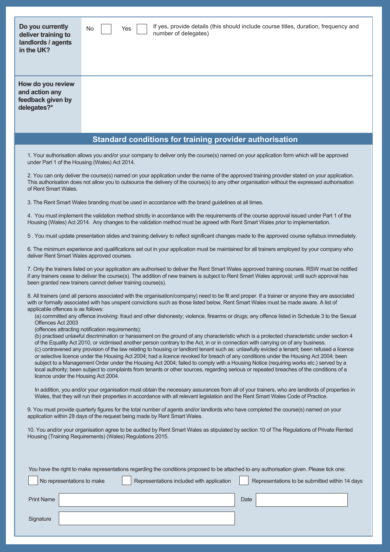| Do you currently<br>deliver training to<br>landlords / agents<br>in the UK?                                                                                                                                       | If yes, provide details (this should include course titles, duration, frequency and<br>No<br>Yes<br>number of delegates)                                                                                                                                                                                                                                                                                                                                       |
|-------------------------------------------------------------------------------------------------------------------------------------------------------------------------------------------------------------------|----------------------------------------------------------------------------------------------------------------------------------------------------------------------------------------------------------------------------------------------------------------------------------------------------------------------------------------------------------------------------------------------------------------------------------------------------------------|
| How do you review<br>and action any<br>feedback given by<br>delegates?*                                                                                                                                           |                                                                                                                                                                                                                                                                                                                                                                                                                                                                |
|                                                                                                                                                                                                                   | Standard conditions for training provider authorisation                                                                                                                                                                                                                                                                                                                                                                                                        |
|                                                                                                                                                                                                                   |                                                                                                                                                                                                                                                                                                                                                                                                                                                                |
|                                                                                                                                                                                                                   | 1. Your authorisation allows you and/or your company to deliver only the course(s) named on your application form which will be approved<br>under Part 1 of the Housing (Wales) Act 2014.                                                                                                                                                                                                                                                                      |
| of Rent Smart Wales.                                                                                                                                                                                              | 2. You can only deliver the course(s) named on your application under the name of the approved training provider stated on your application.<br>This authorisation does not allow you to outsource the delivery of the course(s) to any other organisation without the expressed authorisation                                                                                                                                                                 |
|                                                                                                                                                                                                                   | 3. The Rent Smart Wales branding must be used in accordance with the brand guidelines at all times.                                                                                                                                                                                                                                                                                                                                                            |
|                                                                                                                                                                                                                   | 4. You must implement the validation method strictly in accordance with the requirements of the course approval issued under Part 1 of the<br>Housing (Wales) Act 2014. Any changes to the validation method must be agreed with Rent Smart Wales prior to implementation.                                                                                                                                                                                     |
|                                                                                                                                                                                                                   | 5. You must update presentation slides and training delivery to reflect significant changes made to the approved course syllabus immediately.                                                                                                                                                                                                                                                                                                                  |
|                                                                                                                                                                                                                   | 6. The minimum experience and qualifications set out in your application must be maintained for all trainers employed by your company who<br>deliver Rent Smart Wales approved courses.                                                                                                                                                                                                                                                                        |
|                                                                                                                                                                                                                   | 7. Only the trainers listed on your application are authorised to deliver the Rent Smart Wales approved training courses. RSW must be notified<br>if any trainers cease to deliver the course(s). The addition of new trainers is subject to Rent Smart Wales approval; until such approval has<br>been granted new trainers cannot deliver training course(s).                                                                                                |
| applicable offences is as follows:                                                                                                                                                                                | 8. All trainers (and all persons associated with the organisation/company) need to be fit and proper. If a trainer or anyone they are associated<br>with or formally associated with has unspent convictions such as those listed below, Rent Smart Wales must be made aware. A list of                                                                                                                                                                        |
| Offences Act 2003                                                                                                                                                                                                 | (a) committed any offence involving: fraud and other dishonesty; violence, firearms or drugs; any offence listed in Schedule 3 to the Sexual<br>(offences attracting notification requirements);                                                                                                                                                                                                                                                               |
|                                                                                                                                                                                                                   | (b) practised unlawful discrimination or harassment on the ground of any characteristic which is a protected characteristic under section 4<br>of the Equality Act 2010, or victimised another person contrary to the Act, in or in connection with carrying on of any business.<br>(c) contravened any provision of the law relating to housing or landlord tenant such as: unlawfully evicted a tenant; been refused a licence                               |
|                                                                                                                                                                                                                   | or selective licence under the Housing Act 2004; had a licence revoked for breach of any conditions under the Housing Act 2004; been<br>subject to a Management Order under the Housing Act 2004; failed to comply with a Housing Notice (requiring works etc.) served by a<br>local authority; been subject to complaints from tenants or other sources, regarding serious or repeated breaches of the conditions of a<br>licence under the Housing Act 2004. |
|                                                                                                                                                                                                                   | In addition, you and/or your organisation must obtain the necessary assurances from all of your trainers, who are landlords of properties in<br>Wales, that they will run their properties in accordance with all relevant legislation and the Rent Smart Wales Code of Practice.                                                                                                                                                                              |
| 9. You must provide quarterly figures for the total number of agents and/or landlords who have completed the course(s) named on your<br>application within 28 days of the request being made by Rent Smart Wales. |                                                                                                                                                                                                                                                                                                                                                                                                                                                                |
|                                                                                                                                                                                                                   | 10. You and/or your organisation agree to be audited by Rent Smart Wales as stipulated by section 10 of The Regulations of Private Rented<br>Housing (Training Requirements) (Wales) Regulations 2015.                                                                                                                                                                                                                                                         |
|                                                                                                                                                                                                                   |                                                                                                                                                                                                                                                                                                                                                                                                                                                                |
|                                                                                                                                                                                                                   | You have the right to make representations regarding the conditions proposed to be attached to any authorisation given. Please tick one:                                                                                                                                                                                                                                                                                                                       |
| No representations to make                                                                                                                                                                                        | Representations included with application<br>Representations to be submitted within 14 days                                                                                                                                                                                                                                                                                                                                                                    |
| <b>Print Name</b>                                                                                                                                                                                                 | Date                                                                                                                                                                                                                                                                                                                                                                                                                                                           |
| Signature                                                                                                                                                                                                         |                                                                                                                                                                                                                                                                                                                                                                                                                                                                |